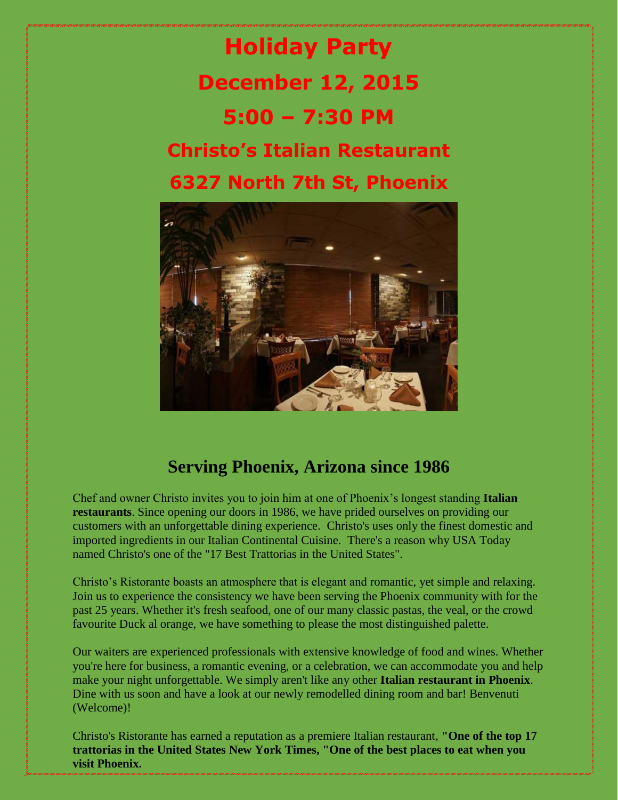



## **Serving Phoenix, Arizona since 1986**

Chef and owner Christo invites you to join him at one of Phoenix's longest standing **Italian restaurants**. Since opening our doors in 1986, we have prided ourselves on providing our customers with an unforgettable dining experience. Christo's uses only the finest domestic and imported ingredients in our Italian Continental Cuisine. There's a reason why USA Today named Christo's one of the "17 Best Trattorias in the United States".

Christo's Ristorante boasts an atmosphere that is elegant and romantic, yet simple and relaxing. Join us to experience the consistency we have been serving the Phoenix community with for the past 25 years. Whether it's fresh seafood, one of our many classic pastas, the veal, or the crowd favourite Duck al orange, we have something to please the most distinguished palette.

Our waiters are experienced professionals with extensive knowledge of food and wines. Whether you're here for business, a romantic evening, or a celebration, we can accommodate you and help make your night unforgettable. We simply aren't like any other **Italian restaurant in Phoenix**. Dine with us soon and have a look at our newly remodelled dining room and bar! Benvenuti (Welcome)!

Christo's Ristorante has earned a reputation as a premiere Italian restaurant, **"One of the top 17 trattorias in the United States New York Times, "One of the best places to eat when you visit Phoenix.**